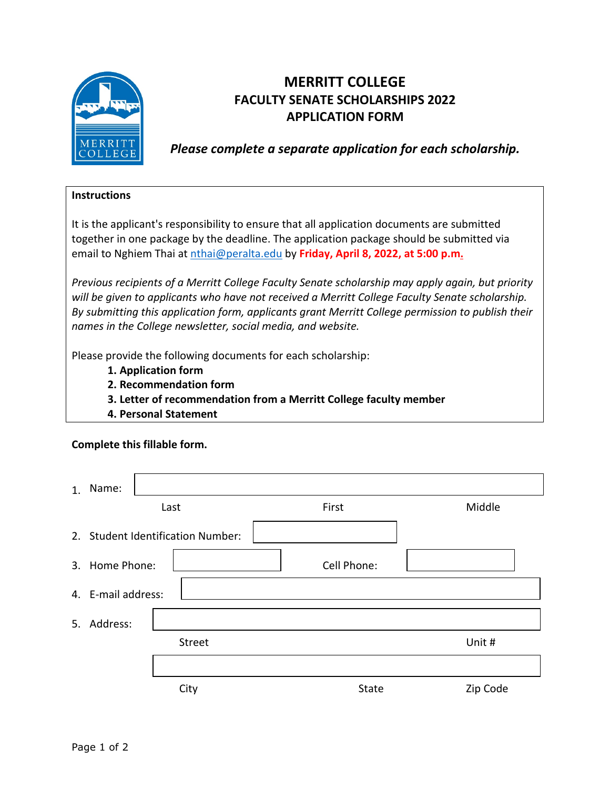

## **MERRITT COLLEGE FACULTY SENATE SCHOLARSHIPS 2022 APPLICATION FORM**

*Please complete a separate application for each scholarship.*

## **Instructions**

It is the applicant's responsibility to ensure that all application documents are submitted together in one package by the deadline. The application package should be submitted via email to Nghiem Thai at [nthai@peralta.edu](mailto:nthai@peralta.edu?subject=Merritt%20College%20Faculty%20Senate%20Scholarship) by **Friday, April 8, 2022, at 5:00 p.m.**

*Previous recipients of a Merritt College Faculty Senate scholarship may apply again, but priority will be given to applicants who have not received a Merritt College Faculty Senate scholarship. By submitting this application form, applicants grant Merritt College permission to publish their names in the College newsletter, social media, and website.* 

Please provide the following documents for each scholarship:

- **1. Application form**
- **2. Recommendation form**
- **3. Letter of recommendation from a Merritt College faculty member**
- **4. Personal Statement**

| Complete this fillable form. |                                   |  |      |  |             |  |          |  |
|------------------------------|-----------------------------------|--|------|--|-------------|--|----------|--|
| 1.                           | Name:                             |  | Last |  | First       |  | Middle   |  |
|                              | 2. Student Identification Number: |  |      |  |             |  |          |  |
|                              | 3. Home Phone:                    |  |      |  | Cell Phone: |  |          |  |
|                              | 4. E-mail address:                |  |      |  |             |  |          |  |
|                              | 5. Address:                       |  |      |  |             |  |          |  |
|                              | Street                            |  |      |  |             |  | Unit #   |  |
|                              |                                   |  |      |  |             |  |          |  |
|                              |                                   |  | City |  | State       |  | Zip Code |  |
|                              |                                   |  |      |  |             |  |          |  |

## **Complete this fillable form.**